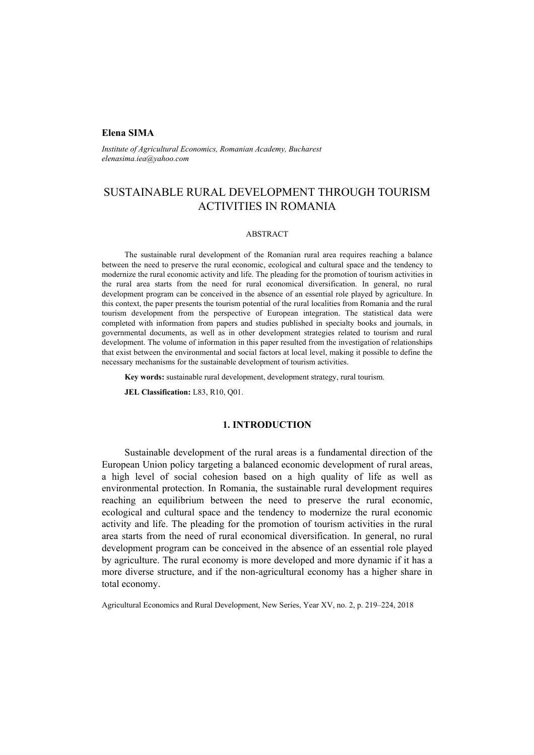## **Elena SIMA**

*Institute of Agricultural Economics, Romanian Academy, Bucharest elenasima.iea@yahoo.com* 

# SUSTAINABLE RURAL DEVELOPMENT THROUGH TOURISM ACTIVITIES IN ROMANIA

#### ABSTRACT

The sustainable rural development of the Romanian rural area requires reaching a balance between the need to preserve the rural economic, ecological and cultural space and the tendency to modernize the rural economic activity and life. The pleading for the promotion of tourism activities in the rural area starts from the need for rural economical diversification. In general, no rural development program can be conceived in the absence of an essential role played by agriculture. In this context, the paper presents the tourism potential of the rural localities from Romania and the rural tourism development from the perspective of European integration. The statistical data were completed with information from papers and studies published in specialty books and journals, in governmental documents, as well as in other development strategies related to tourism and rural development. The volume of information in this paper resulted from the investigation of relationships that exist between the environmental and social factors at local level, making it possible to define the necessary mechanisms for the sustainable development of tourism activities.

**Key words:** sustainable rural development, development strategy, rural tourism.

**JEL Classification:** L83, R10, Q01.

## **1. INTRODUCTION**

Sustainable development of the rural areas is a fundamental direction of the European Union policy targeting a balanced economic development of rural areas, a high level of social cohesion based on a high quality of life as well as environmental protection. In Romania, the sustainable rural development requires reaching an equilibrium between the need to preserve the rural economic, ecological and cultural space and the tendency to modernize the rural economic activity and life. The pleading for the promotion of tourism activities in the rural area starts from the need of rural economical diversification. In general, no rural development program can be conceived in the absence of an essential role played by agriculture. The rural economy is more developed and more dynamic if it has a more diverse structure, and if the non-agricultural economy has a higher share in total economy.

Agricultural Economics and Rural Development, New Series, Year XV, no. 2, p. 219–224, 2018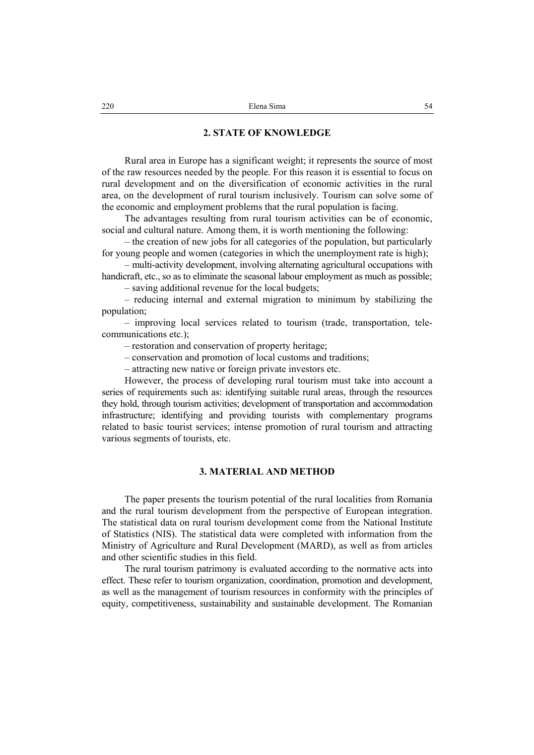### **2. STATE OF KNOWLEDGE**

Rural area in Europe has a significant weight; it represents the source of most of the raw resources needed by the people. For this reason it is essential to focus on rural development and on the diversification of economic activities in the rural area, on the development of rural tourism inclusively. Tourism can solve some of the economic and employment problems that the rural population is facing.

The advantages resulting from rural tourism activities can be of economic, social and cultural nature. Among them, it is worth mentioning the following:

– the creation of new jobs for all categories of the population, but particularly for young people and women (categories in which the unemployment rate is high);

– multi-activity development, involving alternating agricultural occupations with handicraft, etc., so as to eliminate the seasonal labour employment as much as possible;

– saving additional revenue for the local budgets;

– reducing internal and external migration to minimum by stabilizing the population;

– improving local services related to tourism (trade, transportation, telecommunications etc.);

– restoration and conservation of property heritage;

– conservation and promotion of local customs and traditions;

– attracting new native or foreign private investors etc.

However, the process of developing rural tourism must take into account a series of requirements such as: identifying suitable rural areas, through the resources they hold, through tourism activities; development of transportation and accommodation infrastructure; identifying and providing tourists with complementary programs related to basic tourist services; intense promotion of rural tourism and attracting various segments of tourists, etc.

### **3. MATERIAL AND METHOD**

The paper presents the tourism potential of the rural localities from Romania and the rural tourism development from the perspective of European integration. The statistical data on rural tourism development come from the National Institute of Statistics (NIS). The statistical data were completed with information from the Ministry of Agriculture and Rural Development (MARD), as well as from articles and other scientific studies in this field.

The rural tourism patrimony is evaluated according to the normative acts into effect. These refer to tourism organization, coordination, promotion and development, as well as the management of tourism resources in conformity with the principles of equity, competitiveness, sustainability and sustainable development. The Romanian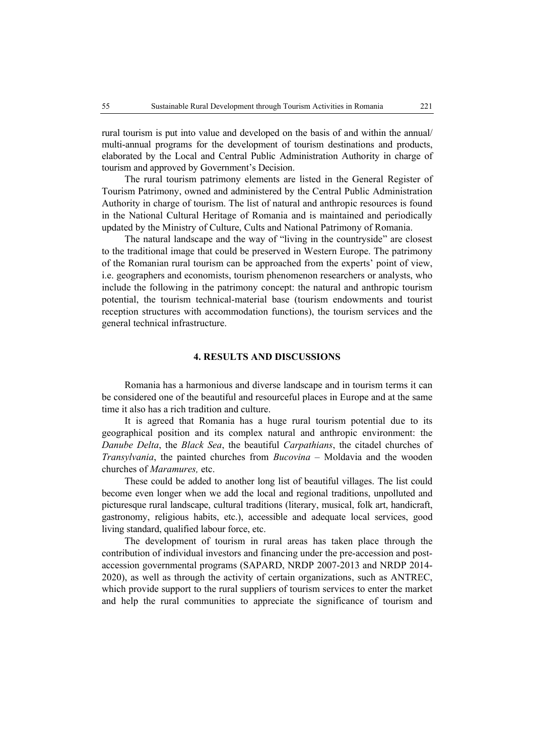rural tourism is put into value and developed on the basis of and within the annual/ multi-annual programs for the development of tourism destinations and products, elaborated by the Local and Central Public Administration Authority in charge of tourism and approved by Government's Decision.

The rural tourism patrimony elements are listed in the General Register of Tourism Patrimony, owned and administered by the Central Public Administration Authority in charge of tourism. The list of natural and anthropic resources is found in the National Cultural Heritage of Romania and is maintained and periodically updated by the Ministry of Culture, Cults and National Patrimony of Romania.

The natural landscape and the way of "living in the countryside" are closest to the traditional image that could be preserved in Western Europe. The patrimony of the Romanian rural tourism can be approached from the experts' point of view, i.e. geographers and economists, tourism phenomenon researchers or analysts, who include the following in the patrimony concept: the natural and anthropic tourism potential, the tourism technical-material base (tourism endowments and tourist reception structures with accommodation functions), the tourism services and the general technical infrastructure.

#### **4. RESULTS AND DISCUSSIONS**

Romania has a harmonious and diverse landscape and in tourism terms it can be considered one of the beautiful and resourceful places in Europe and at the same time it also has a rich tradition and culture.

It is agreed that Romania has a huge rural tourism potential due to its geographical position and its complex natural and anthropic environment: the *Danube Delta*, the *Black Sea*, the beautiful *Carpathians*, the citadel churches of *Transylvania*, the painted churches from *Bucovina* – Moldavia and the wooden churches of *Maramures,* etc.

These could be added to another long list of beautiful villages. The list could become even longer when we add the local and regional traditions, unpolluted and picturesque rural landscape, cultural traditions (literary, musical, folk art, handicraft, gastronomy, religious habits, etc.), accessible and adequate local services, good living standard, qualified labour force, etc.

The development of tourism in rural areas has taken place through the contribution of individual investors and financing under the pre-accession and postaccession governmental programs (SAPARD, NRDP 2007-2013 and NRDP 2014- 2020), as well as through the activity of certain organizations, such as ANTREC, which provide support to the rural suppliers of tourism services to enter the market and help the rural communities to appreciate the significance of tourism and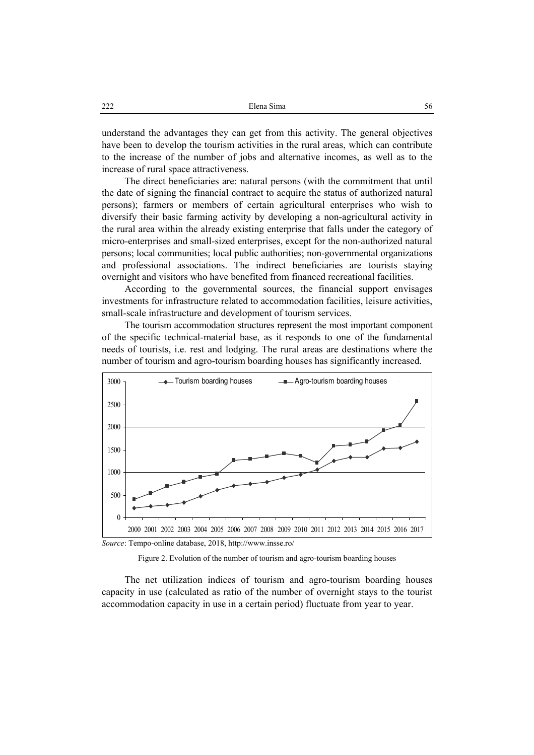understand the advantages they can get from this activity. The general objectives have been to develop the tourism activities in the rural areas, which can contribute to the increase of the number of jobs and alternative incomes, as well as to the increase of rural space attractiveness.

The direct beneficiaries are: natural persons (with the commitment that until the date of signing the financial contract to acquire the status of authorized natural persons); farmers or members of certain agricultural enterprises who wish to diversify their basic farming activity by developing a non-agricultural activity in the rural area within the already existing enterprise that falls under the category of micro-enterprises and small-sized enterprises, except for the non-authorized natural persons; local communities; local public authorities; non-governmental organizations and professional associations. The indirect beneficiaries are tourists staying overnight and visitors who have benefited from financed recreational facilities.

According to the governmental sources, the financial support envisages investments for infrastructure related to accommodation facilities, leisure activities, small-scale infrastructure and development of tourism services.

The tourism accommodation structures represent the most important component of the specific technical-material base, as it responds to one of the fundamental needs of tourists, i.e. rest and lodging. The rural areas are destinations where the number of tourism and agro-tourism boarding houses has significantly increased.







The net utilization indices of tourism and agro-tourism boarding houses capacity in use (calculated as ratio of the number of overnight stays to the tourist accommodation capacity in use in a certain period) fluctuate from year to year.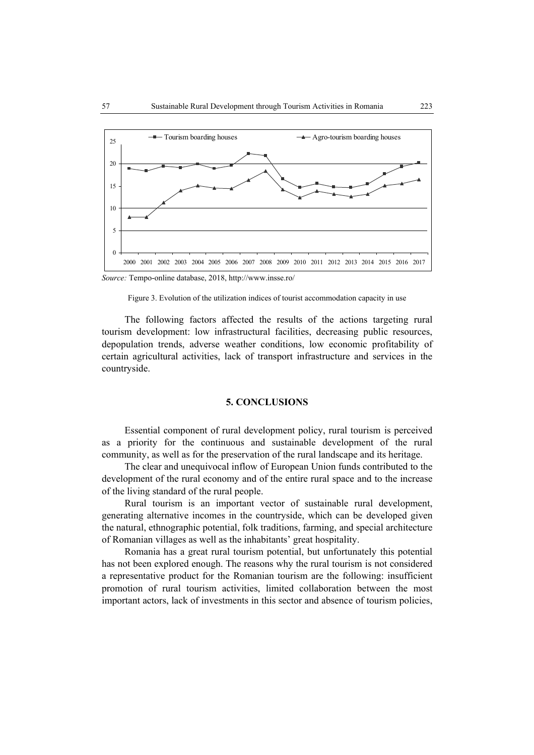

*Source:* Tempo-online database, 2018, http://www.insse.ro/

Figure 3. Evolution of the utilization indices of tourist accommodation capacity in use

The following factors affected the results of the actions targeting rural tourism development: low infrastructural facilities, decreasing public resources, depopulation trends, adverse weather conditions, low economic profitability of certain agricultural activities, lack of transport infrastructure and services in the countryside.

### **5. CONCLUSIONS**

Essential component of rural development policy, rural tourism is perceived as a priority for the continuous and sustainable development of the rural community, as well as for the preservation of the rural landscape and its heritage.

The clear and unequivocal inflow of European Union funds contributed to the development of the rural economy and of the entire rural space and to the increase of the living standard of the rural people.

Rural tourism is an important vector of sustainable rural development, generating alternative incomes in the countryside, which can be developed given the natural, ethnographic potential, folk traditions, farming, and special architecture of Romanian villages as well as the inhabitants' great hospitality.

Romania has a great rural tourism potential, but unfortunately this potential has not been explored enough. The reasons why the rural tourism is not considered a representative product for the Romanian tourism are the following: insufficient promotion of rural tourism activities, limited collaboration between the most important actors, lack of investments in this sector and absence of tourism policies,